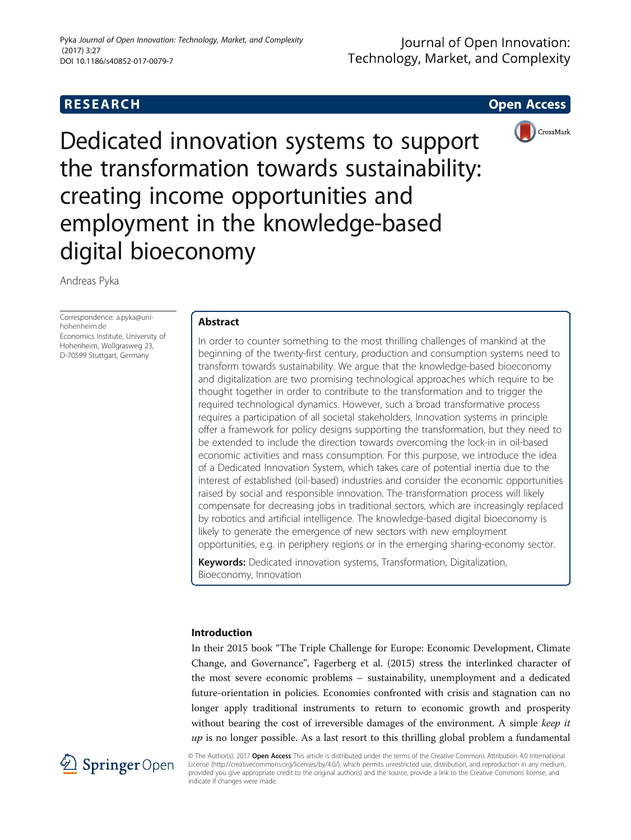# **RESEARCH CHE Open Access**



Dedicated innovation systems to support the transformation towards sustainability: creating income opportunities and employment in the knowledge-based digital bioeconomy

Andreas Pyka

Correspondence: [a.pyka@uni](mailto:a.pyka@uni-hohenheim.de)[hohenheim.de](mailto:a.pyka@uni-hohenheim.de) Economics Institute, University of Hohenheim, Wollgrasweg 23, D-70599 Stuttgart, Germany

# Abstract

In order to counter something to the most thrilling challenges of mankind at the beginning of the twenty-first century, production and consumption systems need to transform towards sustainability. We argue that the knowledge-based bioeconomy and digitalization are two promising technological approaches which require to be thought together in order to contribute to the transformation and to trigger the required technological dynamics. However, such a broad transformative process requires a participation of all societal stakeholders. Innovation systems in principle offer a framework for policy designs supporting the transformation, but they need to be extended to include the direction towards overcoming the lock-in in oil-based economic activities and mass consumption. For this purpose, we introduce the idea of a Dedicated Innovation System, which takes care of potential inertia due to the interest of established (oil-based) industries and consider the economic opportunities raised by social and responsible innovation. The transformation process will likely compensate for decreasing jobs in traditional sectors, which are increasingly replaced by robotics and artificial intelligence. The knowledge-based digital bioeconomy is likely to generate the emergence of new sectors with new employment opportunities, e.g. in periphery regions or in the emerging sharing-economy sector.

**Keywords:** Dedicated innovation systems, Transformation, Digitalization, Bioeconomy, Innovation

# Introduction

In their 2015 book "The Triple Challenge for Europe: Economic Development, Climate Change, and Governance", Fagerberg et al. ([2015\)](#page-16-0) stress the interlinked character of the most severe economic problems – sustainability, unemployment and a dedicated future-orientation in policies. Economies confronted with crisis and stagnation can no longer apply traditional instruments to return to economic growth and prosperity without bearing the cost of irreversible damages of the environment. A simple keep it  $up$  is no longer possible. As a last resort to this thrilling global problem a fundamental



© The Author(s). 2017 Open Access This article is distributed under the terms of the Creative Commons Attribution 4.0 International License [\(http://creativecommons.org/licenses/by/4.0/](http://creativecommons.org/licenses/by/4.0/)), which permits unrestricted use, distribution, and reproduction in any medium, provided you give appropriate credit to the original author(s) and the source, provide a link to the Creative Commons license, and indicate if changes were made.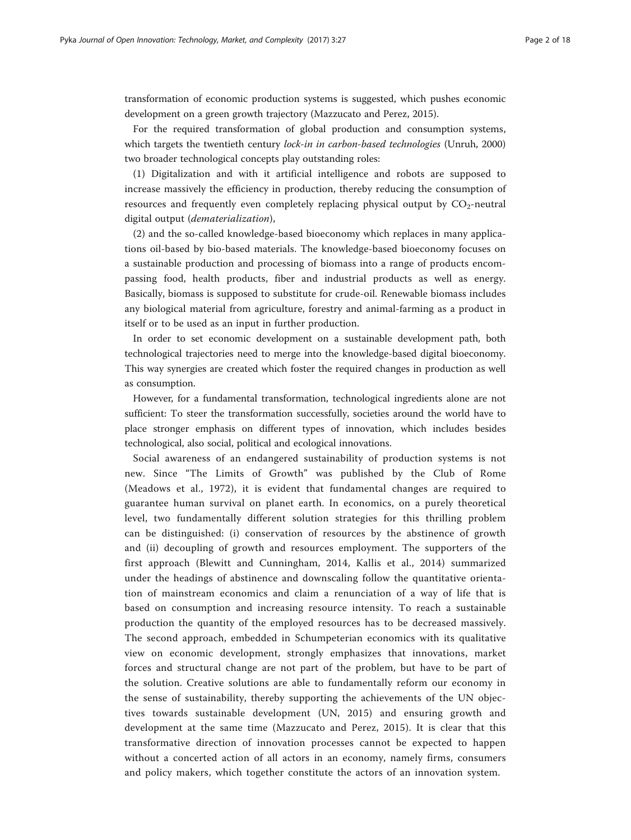transformation of economic production systems is suggested, which pushes economic development on a green growth trajectory (Mazzucato and Perez, [2015](#page-17-0)).

For the required transformation of global production and consumption systems, which targets the twentieth century *lock-in in carbon-based technologies* (Unruh, [2000](#page-17-0)) two broader technological concepts play outstanding roles:

(1) Digitalization and with it artificial intelligence and robots are supposed to increase massively the efficiency in production, thereby reducing the consumption of resources and frequently even completely replacing physical output by  $CO<sub>2</sub>$ -neutral digital output (dematerialization),

(2) and the so-called knowledge-based bioeconomy which replaces in many applications oil-based by bio-based materials. The knowledge-based bioeconomy focuses on a sustainable production and processing of biomass into a range of products encompassing food, health products, fiber and industrial products as well as energy. Basically, biomass is supposed to substitute for crude-oil. Renewable biomass includes any biological material from agriculture, forestry and animal-farming as a product in itself or to be used as an input in further production.

In order to set economic development on a sustainable development path, both technological trajectories need to merge into the knowledge-based digital bioeconomy. This way synergies are created which foster the required changes in production as well as consumption.

However, for a fundamental transformation, technological ingredients alone are not sufficient: To steer the transformation successfully, societies around the world have to place stronger emphasis on different types of innovation, which includes besides technological, also social, political and ecological innovations.

Social awareness of an endangered sustainability of production systems is not new. Since "The Limits of Growth" was published by the Club of Rome (Meadows et al., [1972\)](#page-17-0), it is evident that fundamental changes are required to guarantee human survival on planet earth. In economics, on a purely theoretical level, two fundamentally different solution strategies for this thrilling problem can be distinguished: (i) conservation of resources by the abstinence of growth and (ii) decoupling of growth and resources employment. The supporters of the first approach (Blewitt and Cunningham, [2014,](#page-15-0) Kallis et al., [2014\)](#page-16-0) summarized under the headings of abstinence and downscaling follow the quantitative orientation of mainstream economics and claim a renunciation of a way of life that is based on consumption and increasing resource intensity. To reach a sustainable production the quantity of the employed resources has to be decreased massively. The second approach, embedded in Schumpeterian economics with its qualitative view on economic development, strongly emphasizes that innovations, market forces and structural change are not part of the problem, but have to be part of the solution. Creative solutions are able to fundamentally reform our economy in the sense of sustainability, thereby supporting the achievements of the UN objectives towards sustainable development (UN, [2015](#page-17-0)) and ensuring growth and development at the same time (Mazzucato and Perez, [2015\)](#page-17-0). It is clear that this transformative direction of innovation processes cannot be expected to happen without a concerted action of all actors in an economy, namely firms, consumers and policy makers, which together constitute the actors of an innovation system.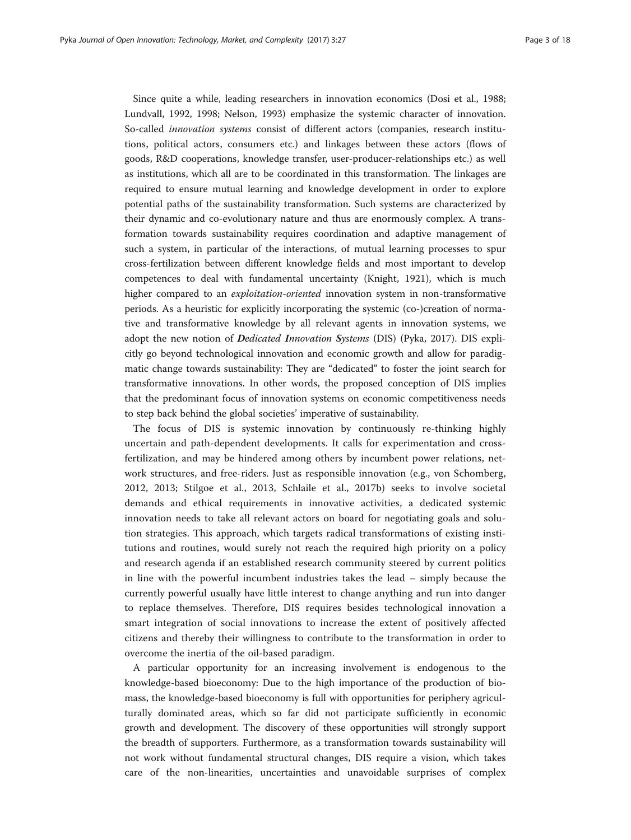Since quite a while, leading researchers in innovation economics (Dosi et al., [1988](#page-16-0); Lundvall, [1992](#page-16-0), [1998](#page-16-0); Nelson, [1993\)](#page-17-0) emphasize the systemic character of innovation. So-called innovation systems consist of different actors (companies, research institutions, political actors, consumers etc.) and linkages between these actors (flows of goods, R&D cooperations, knowledge transfer, user-producer-relationships etc.) as well as institutions, which all are to be coordinated in this transformation. The linkages are required to ensure mutual learning and knowledge development in order to explore potential paths of the sustainability transformation. Such systems are characterized by their dynamic and co-evolutionary nature and thus are enormously complex. A transformation towards sustainability requires coordination and adaptive management of such a system, in particular of the interactions, of mutual learning processes to spur cross-fertilization between different knowledge fields and most important to develop competences to deal with fundamental uncertainty (Knight, [1921\)](#page-16-0), which is much higher compared to an exploitation-oriented innovation system in non-transformative periods. As a heuristic for explicitly incorporating the systemic (co-)creation of normative and transformative knowledge by all relevant agents in innovation systems, we adopt the new notion of Dedicated Innovation Systems (DIS) (Pyka, [2017](#page-17-0)). DIS explicitly go beyond technological innovation and economic growth and allow for paradigmatic change towards sustainability: They are "dedicated" to foster the joint search for transformative innovations. In other words, the proposed conception of DIS implies that the predominant focus of innovation systems on economic competitiveness needs to step back behind the global societies' imperative of sustainability.

The focus of DIS is systemic innovation by continuously re-thinking highly uncertain and path-dependent developments. It calls for experimentation and crossfertilization, and may be hindered among others by incumbent power relations, network structures, and free-riders. Just as responsible innovation (e.g., von Schomberg, [2012, 2013;](#page-17-0) Stilgoe et al., [2013](#page-17-0), Schlaile et al., [2017](#page-17-0)b) seeks to involve societal demands and ethical requirements in innovative activities, a dedicated systemic innovation needs to take all relevant actors on board for negotiating goals and solution strategies. This approach, which targets radical transformations of existing institutions and routines, would surely not reach the required high priority on a policy and research agenda if an established research community steered by current politics in line with the powerful incumbent industries takes the lead – simply because the currently powerful usually have little interest to change anything and run into danger to replace themselves. Therefore, DIS requires besides technological innovation a smart integration of social innovations to increase the extent of positively affected citizens and thereby their willingness to contribute to the transformation in order to overcome the inertia of the oil-based paradigm.

A particular opportunity for an increasing involvement is endogenous to the knowledge-based bioeconomy: Due to the high importance of the production of biomass, the knowledge-based bioeconomy is full with opportunities for periphery agriculturally dominated areas, which so far did not participate sufficiently in economic growth and development. The discovery of these opportunities will strongly support the breadth of supporters. Furthermore, as a transformation towards sustainability will not work without fundamental structural changes, DIS require a vision, which takes care of the non-linearities, uncertainties and unavoidable surprises of complex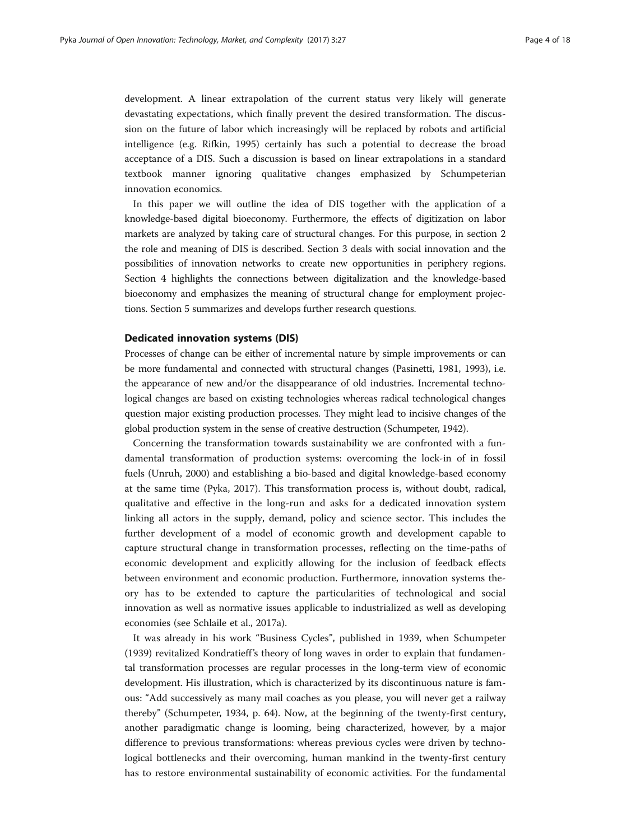development. A linear extrapolation of the current status very likely will generate devastating expectations, which finally prevent the desired transformation. The discussion on the future of labor which increasingly will be replaced by robots and artificial intelligence (e.g. Rifkin, [1995\)](#page-17-0) certainly has such a potential to decrease the broad acceptance of a DIS. Such a discussion is based on linear extrapolations in a standard textbook manner ignoring qualitative changes emphasized by Schumpeterian innovation economics.

In this paper we will outline the idea of DIS together with the application of a knowledge-based digital bioeconomy. Furthermore, the effects of digitization on labor markets are analyzed by taking care of structural changes. For this purpose, in section 2 the role and meaning of DIS is described. Section 3 deals with social innovation and the possibilities of innovation networks to create new opportunities in periphery regions. Section 4 highlights the connections between digitalization and the knowledge-based bioeconomy and emphasizes the meaning of structural change for employment projections. Section 5 summarizes and develops further research questions.

#### Dedicated innovation systems (DIS)

Processes of change can be either of incremental nature by simple improvements or can be more fundamental and connected with structural changes (Pasinetti, [1981, 1993\)](#page-17-0), i.e. the appearance of new and/or the disappearance of old industries. Incremental technological changes are based on existing technologies whereas radical technological changes question major existing production processes. They might lead to incisive changes of the global production system in the sense of creative destruction (Schumpeter, 1942).

Concerning the transformation towards sustainability we are confronted with a fundamental transformation of production systems: overcoming the lock-in of in fossil fuels (Unruh, [2000\)](#page-17-0) and establishing a bio-based and digital knowledge-based economy at the same time (Pyka, [2017\)](#page-17-0). This transformation process is, without doubt, radical, qualitative and effective in the long-run and asks for a dedicated innovation system linking all actors in the supply, demand, policy and science sector. This includes the further development of a model of economic growth and development capable to capture structural change in transformation processes, reflecting on the time-paths of economic development and explicitly allowing for the inclusion of feedback effects between environment and economic production. Furthermore, innovation systems theory has to be extended to capture the particularities of technological and social innovation as well as normative issues applicable to industrialized as well as developing economies (see Schlaile et al., [2017](#page-17-0)a).

It was already in his work "Business Cycles", published in 1939, when Schumpeter ([1939](#page-17-0)) revitalized Kondratieff's theory of long waves in order to explain that fundamental transformation processes are regular processes in the long-term view of economic development. His illustration, which is characterized by its discontinuous nature is famous: "Add successively as many mail coaches as you please, you will never get a railway thereby" (Schumpeter, [1934,](#page-17-0) p. 64). Now, at the beginning of the twenty-first century, another paradigmatic change is looming, being characterized, however, by a major difference to previous transformations: whereas previous cycles were driven by technological bottlenecks and their overcoming, human mankind in the twenty-first century has to restore environmental sustainability of economic activities. For the fundamental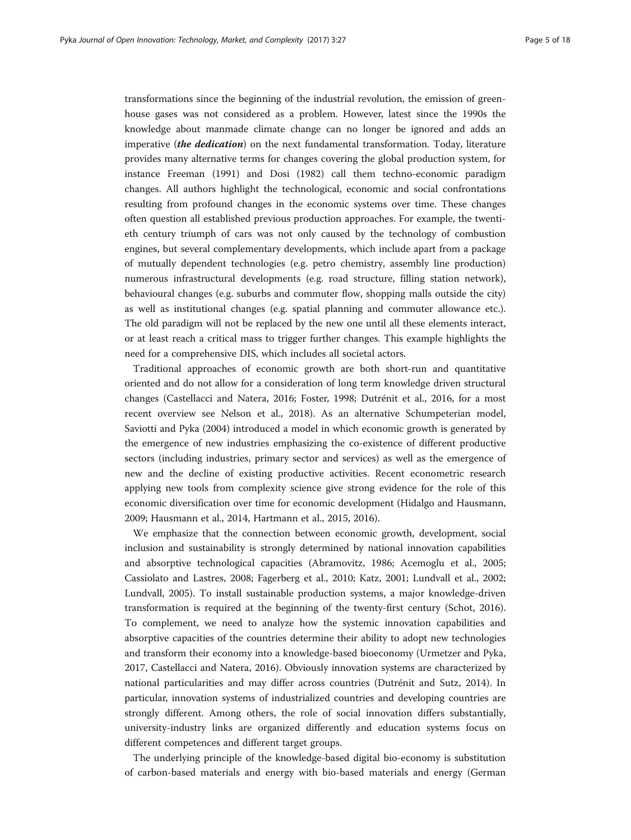transformations since the beginning of the industrial revolution, the emission of greenhouse gases was not considered as a problem. However, latest since the 1990s the knowledge about manmade climate change can no longer be ignored and adds an imperative *(the dedication)* on the next fundamental transformation. Today, literature provides many alternative terms for changes covering the global production system, for instance Freeman [\(1991](#page-16-0)) and Dosi [\(1982\)](#page-16-0) call them techno-economic paradigm changes. All authors highlight the technological, economic and social confrontations resulting from profound changes in the economic systems over time. These changes often question all established previous production approaches. For example, the twentieth century triumph of cars was not only caused by the technology of combustion engines, but several complementary developments, which include apart from a package of mutually dependent technologies (e.g. petro chemistry, assembly line production) numerous infrastructural developments (e.g. road structure, filling station network), behavioural changes (e.g. suburbs and commuter flow, shopping malls outside the city) as well as institutional changes (e.g. spatial planning and commuter allowance etc.). The old paradigm will not be replaced by the new one until all these elements interact, or at least reach a critical mass to trigger further changes. This example highlights the need for a comprehensive DIS, which includes all societal actors.

Traditional approaches of economic growth are both short-run and quantitative oriented and do not allow for a consideration of long term knowledge driven structural changes (Castellacci and Natera, [2016;](#page-16-0) Foster, [1998;](#page-16-0) Dutrénit et al., [2016,](#page-16-0) for a most recent overview see Nelson et al., [2018](#page-17-0)). As an alternative Schumpeterian model, Saviotti and Pyka [\(2004\)](#page-17-0) introduced a model in which economic growth is generated by the emergence of new industries emphasizing the co-existence of different productive sectors (including industries, primary sector and services) as well as the emergence of new and the decline of existing productive activities. Recent econometric research applying new tools from complexity science give strong evidence for the role of this economic diversification over time for economic development (Hidalgo and Hausmann, [2009](#page-16-0); Hausmann et al., [2014](#page-16-0), Hartmann et al., [2015, 2016](#page-16-0)).

We emphasize that the connection between economic growth, development, social inclusion and sustainability is strongly determined by national innovation capabilities and absorptive technological capacities (Abramovitz, [1986](#page-15-0); Acemoglu et al., [2005](#page-15-0); Cassiolato and Lastres, [2008](#page-16-0); Fagerberg et al., [2010](#page-16-0); Katz, [2001;](#page-16-0) Lundvall et al., [2002](#page-16-0); Lundvall, [2005\)](#page-16-0). To install sustainable production systems, a major knowledge-driven transformation is required at the beginning of the twenty-first century (Schot, 2016). To complement, we need to analyze how the systemic innovation capabilities and absorptive capacities of the countries determine their ability to adopt new technologies and transform their economy into a knowledge-based bioeconomy (Urmetzer and Pyka, [2017](#page-17-0), Castellacci and Natera, [2016](#page-16-0)). Obviously innovation systems are characterized by national particularities and may differ across countries (Dutrénit and Sutz, [2014](#page-16-0)). In particular, innovation systems of industrialized countries and developing countries are strongly different. Among others, the role of social innovation differs substantially, university-industry links are organized differently and education systems focus on different competences and different target groups.

The underlying principle of the knowledge-based digital bio-economy is substitution of carbon-based materials and energy with bio-based materials and energy (German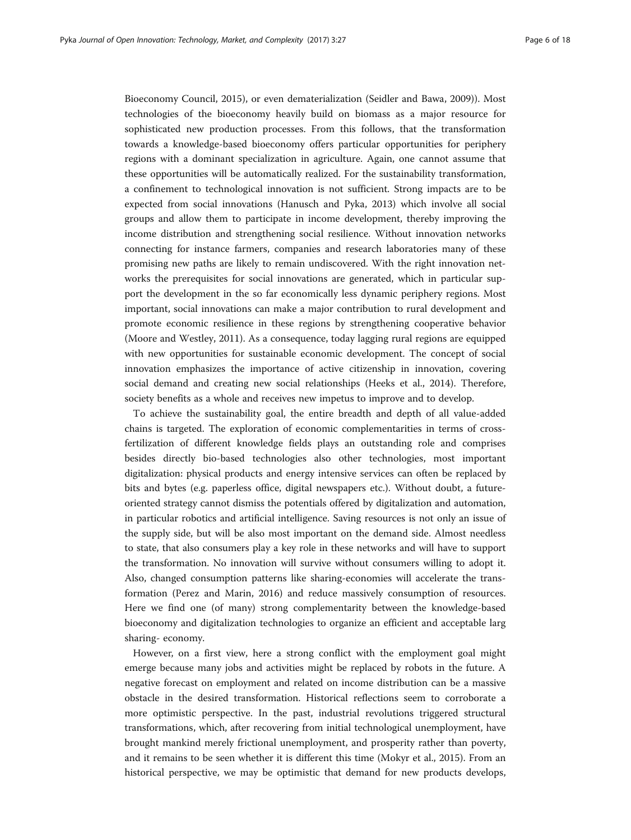Bioeconomy Council, [2015\)](#page-16-0), or even dematerialization (Seidler and Bawa, [2009\)](#page-17-0)). Most technologies of the bioeconomy heavily build on biomass as a major resource for sophisticated new production processes. From this follows, that the transformation towards a knowledge-based bioeconomy offers particular opportunities for periphery regions with a dominant specialization in agriculture. Again, one cannot assume that these opportunities will be automatically realized. For the sustainability transformation, a confinement to technological innovation is not sufficient. Strong impacts are to be expected from social innovations (Hanusch and Pyka, [2013\)](#page-16-0) which involve all social groups and allow them to participate in income development, thereby improving the income distribution and strengthening social resilience. Without innovation networks connecting for instance farmers, companies and research laboratories many of these promising new paths are likely to remain undiscovered. With the right innovation networks the prerequisites for social innovations are generated, which in particular support the development in the so far economically less dynamic periphery regions. Most important, social innovations can make a major contribution to rural development and promote economic resilience in these regions by strengthening cooperative behavior (Moore and Westley, [2011](#page-17-0)). As a consequence, today lagging rural regions are equipped with new opportunities for sustainable economic development. The concept of social innovation emphasizes the importance of active citizenship in innovation, covering social demand and creating new social relationships (Heeks et al., [2014](#page-16-0)). Therefore, society benefits as a whole and receives new impetus to improve and to develop.

To achieve the sustainability goal, the entire breadth and depth of all value-added chains is targeted. The exploration of economic complementarities in terms of crossfertilization of different knowledge fields plays an outstanding role and comprises besides directly bio-based technologies also other technologies, most important digitalization: physical products and energy intensive services can often be replaced by bits and bytes (e.g. paperless office, digital newspapers etc.). Without doubt, a futureoriented strategy cannot dismiss the potentials offered by digitalization and automation, in particular robotics and artificial intelligence. Saving resources is not only an issue of the supply side, but will be also most important on the demand side. Almost needless to state, that also consumers play a key role in these networks and will have to support the transformation. No innovation will survive without consumers willing to adopt it. Also, changed consumption patterns like sharing-economies will accelerate the transformation (Perez and Marin, [2016\)](#page-17-0) and reduce massively consumption of resources. Here we find one (of many) strong complementarity between the knowledge-based bioeconomy and digitalization technologies to organize an efficient and acceptable larg sharing- economy.

However, on a first view, here a strong conflict with the employment goal might emerge because many jobs and activities might be replaced by robots in the future. A negative forecast on employment and related on income distribution can be a massive obstacle in the desired transformation. Historical reflections seem to corroborate a more optimistic perspective. In the past, industrial revolutions triggered structural transformations, which, after recovering from initial technological unemployment, have brought mankind merely frictional unemployment, and prosperity rather than poverty, and it remains to be seen whether it is different this time (Mokyr et al., [2015](#page-17-0)). From an historical perspective, we may be optimistic that demand for new products develops,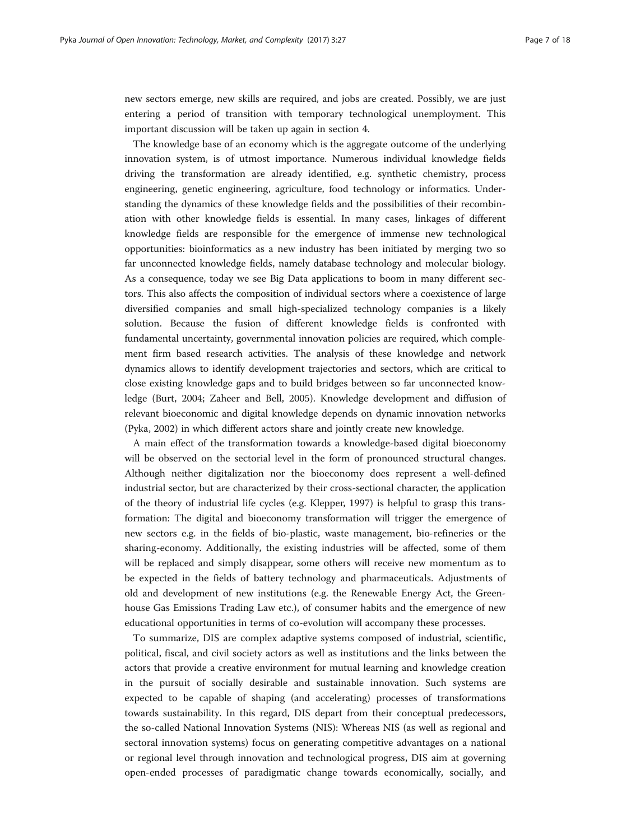new sectors emerge, new skills are required, and jobs are created. Possibly, we are just entering a period of transition with temporary technological unemployment. This important discussion will be taken up again in section 4.

The knowledge base of an economy which is the aggregate outcome of the underlying innovation system, is of utmost importance. Numerous individual knowledge fields driving the transformation are already identified, e.g. synthetic chemistry, process engineering, genetic engineering, agriculture, food technology or informatics. Understanding the dynamics of these knowledge fields and the possibilities of their recombination with other knowledge fields is essential. In many cases, linkages of different knowledge fields are responsible for the emergence of immense new technological opportunities: bioinformatics as a new industry has been initiated by merging two so far unconnected knowledge fields, namely database technology and molecular biology. As a consequence, today we see Big Data applications to boom in many different sectors. This also affects the composition of individual sectors where a coexistence of large diversified companies and small high-specialized technology companies is a likely solution. Because the fusion of different knowledge fields is confronted with fundamental uncertainty, governmental innovation policies are required, which complement firm based research activities. The analysis of these knowledge and network dynamics allows to identify development trajectories and sectors, which are critical to close existing knowledge gaps and to build bridges between so far unconnected knowledge (Burt, [2004](#page-15-0); Zaheer and Bell, [2005\)](#page-17-0). Knowledge development and diffusion of relevant bioeconomic and digital knowledge depends on dynamic innovation networks (Pyka, [2002\)](#page-17-0) in which different actors share and jointly create new knowledge.

A main effect of the transformation towards a knowledge-based digital bioeconomy will be observed on the sectorial level in the form of pronounced structural changes. Although neither digitalization nor the bioeconomy does represent a well-defined industrial sector, but are characterized by their cross-sectional character, the application of the theory of industrial life cycles (e.g. Klepper, [1997](#page-16-0)) is helpful to grasp this transformation: The digital and bioeconomy transformation will trigger the emergence of new sectors e.g. in the fields of bio-plastic, waste management, bio-refineries or the sharing-economy. Additionally, the existing industries will be affected, some of them will be replaced and simply disappear, some others will receive new momentum as to be expected in the fields of battery technology and pharmaceuticals. Adjustments of old and development of new institutions (e.g. the Renewable Energy Act, the Greenhouse Gas Emissions Trading Law etc.), of consumer habits and the emergence of new educational opportunities in terms of co-evolution will accompany these processes.

To summarize, DIS are complex adaptive systems composed of industrial, scientific, political, fiscal, and civil society actors as well as institutions and the links between the actors that provide a creative environment for mutual learning and knowledge creation in the pursuit of socially desirable and sustainable innovation. Such systems are expected to be capable of shaping (and accelerating) processes of transformations towards sustainability. In this regard, DIS depart from their conceptual predecessors, the so-called National Innovation Systems (NIS): Whereas NIS (as well as regional and sectoral innovation systems) focus on generating competitive advantages on a national or regional level through innovation and technological progress, DIS aim at governing open-ended processes of paradigmatic change towards economically, socially, and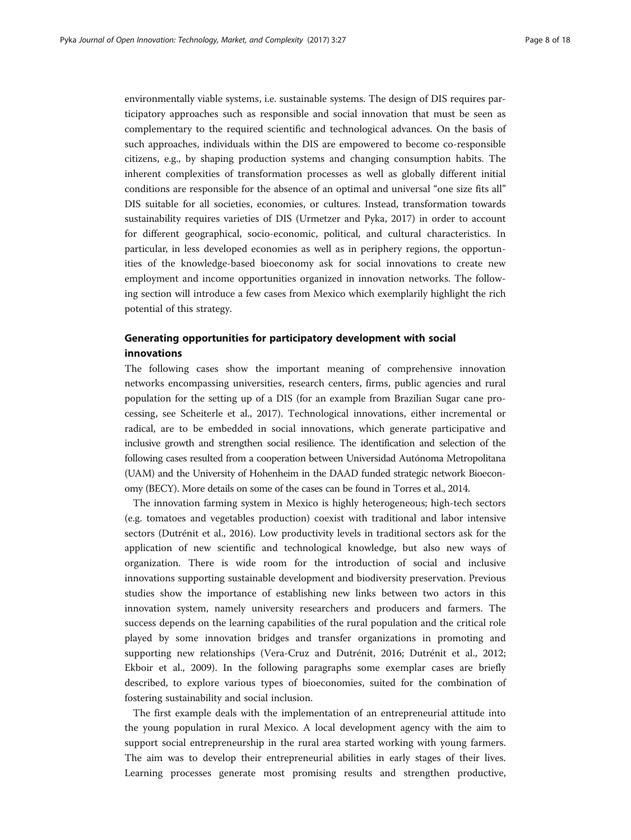environmentally viable systems, i.e. sustainable systems. The design of DIS requires participatory approaches such as responsible and social innovation that must be seen as complementary to the required scientific and technological advances. On the basis of such approaches, individuals within the DIS are empowered to become co-responsible citizens, e.g., by shaping production systems and changing consumption habits. The inherent complexities of transformation processes as well as globally different initial conditions are responsible for the absence of an optimal and universal "one size fits all" DIS suitable for all societies, economies, or cultures. Instead, transformation towards sustainability requires varieties of DIS (Urmetzer and Pyka, [2017\)](#page-17-0) in order to account for different geographical, socio-economic, political, and cultural characteristics. In particular, in less developed economies as well as in periphery regions, the opportunities of the knowledge-based bioeconomy ask for social innovations to create new employment and income opportunities organized in innovation networks. The following section will introduce a few cases from Mexico which exemplarily highlight the rich potential of this strategy.

## Generating opportunities for participatory development with social innovations

The following cases show the important meaning of comprehensive innovation networks encompassing universities, research centers, firms, public agencies and rural population for the setting up of a DIS (for an example from Brazilian Sugar cane processing, see Scheiterle et al., [2017](#page-17-0)). Technological innovations, either incremental or radical, are to be embedded in social innovations, which generate participative and inclusive growth and strengthen social resilience. The identification and selection of the following cases resulted from a cooperation between Universidad Autónoma Metropolitana (UAM) and the University of Hohenheim in the DAAD funded strategic network Bioeconomy (BECY). More details on some of the cases can be found in Torres et al., [2014.](#page-17-0)

The innovation farming system in Mexico is highly heterogeneous; high-tech sectors (e.g. tomatoes and vegetables production) coexist with traditional and labor intensive sectors (Dutrénit et al., [2016](#page-16-0)). Low productivity levels in traditional sectors ask for the application of new scientific and technological knowledge, but also new ways of organization. There is wide room for the introduction of social and inclusive innovations supporting sustainable development and biodiversity preservation. Previous studies show the importance of establishing new links between two actors in this innovation system, namely university researchers and producers and farmers. The success depends on the learning capabilities of the rural population and the critical role played by some innovation bridges and transfer organizations in promoting and supporting new relationships (Vera-Cruz and Dutrénit, [2016](#page-17-0); Dutrénit et al., [2012](#page-16-0); Ekboir et al., [2009\)](#page-16-0). In the following paragraphs some exemplar cases are briefly described, to explore various types of bioeconomies, suited for the combination of fostering sustainability and social inclusion.

The first example deals with the implementation of an entrepreneurial attitude into the young population in rural Mexico. A local development agency with the aim to support social entrepreneurship in the rural area started working with young farmers. The aim was to develop their entrepreneurial abilities in early stages of their lives. Learning processes generate most promising results and strengthen productive,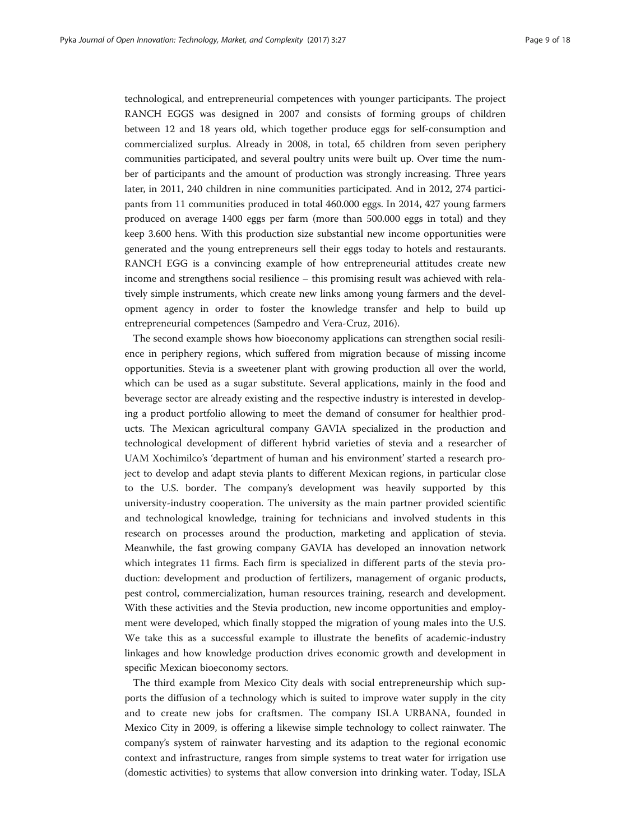technological, and entrepreneurial competences with younger participants. The project RANCH EGGS was designed in 2007 and consists of forming groups of children between 12 and 18 years old, which together produce eggs for self-consumption and commercialized surplus. Already in 2008, in total, 65 children from seven periphery communities participated, and several poultry units were built up. Over time the number of participants and the amount of production was strongly increasing. Three years later, in 2011, 240 children in nine communities participated. And in 2012, 274 participants from 11 communities produced in total 460.000 eggs. In 2014, 427 young farmers produced on average 1400 eggs per farm (more than 500.000 eggs in total) and they keep 3.600 hens. With this production size substantial new income opportunities were generated and the young entrepreneurs sell their eggs today to hotels and restaurants. RANCH EGG is a convincing example of how entrepreneurial attitudes create new income and strengthens social resilience – this promising result was achieved with relatively simple instruments, which create new links among young farmers and the development agency in order to foster the knowledge transfer and help to build up entrepreneurial competences (Sampedro and Vera-Cruz, 2016).

The second example shows how bioeconomy applications can strengthen social resilience in periphery regions, which suffered from migration because of missing income opportunities. Stevia is a sweetener plant with growing production all over the world, which can be used as a sugar substitute. Several applications, mainly in the food and beverage sector are already existing and the respective industry is interested in developing a product portfolio allowing to meet the demand of consumer for healthier products. The Mexican agricultural company GAVIA specialized in the production and technological development of different hybrid varieties of stevia and a researcher of UAM Xochimilco's 'department of human and his environment' started a research project to develop and adapt stevia plants to different Mexican regions, in particular close to the U.S. border. The company's development was heavily supported by this university-industry cooperation. The university as the main partner provided scientific and technological knowledge, training for technicians and involved students in this research on processes around the production, marketing and application of stevia. Meanwhile, the fast growing company GAVIA has developed an innovation network which integrates 11 firms. Each firm is specialized in different parts of the stevia production: development and production of fertilizers, management of organic products, pest control, commercialization, human resources training, research and development. With these activities and the Stevia production, new income opportunities and employment were developed, which finally stopped the migration of young males into the U.S. We take this as a successful example to illustrate the benefits of academic-industry linkages and how knowledge production drives economic growth and development in specific Mexican bioeconomy sectors.

The third example from Mexico City deals with social entrepreneurship which supports the diffusion of a technology which is suited to improve water supply in the city and to create new jobs for craftsmen. The company ISLA URBANA, founded in Mexico City in 2009, is offering a likewise simple technology to collect rainwater. The company's system of rainwater harvesting and its adaption to the regional economic context and infrastructure, ranges from simple systems to treat water for irrigation use (domestic activities) to systems that allow conversion into drinking water. Today, ISLA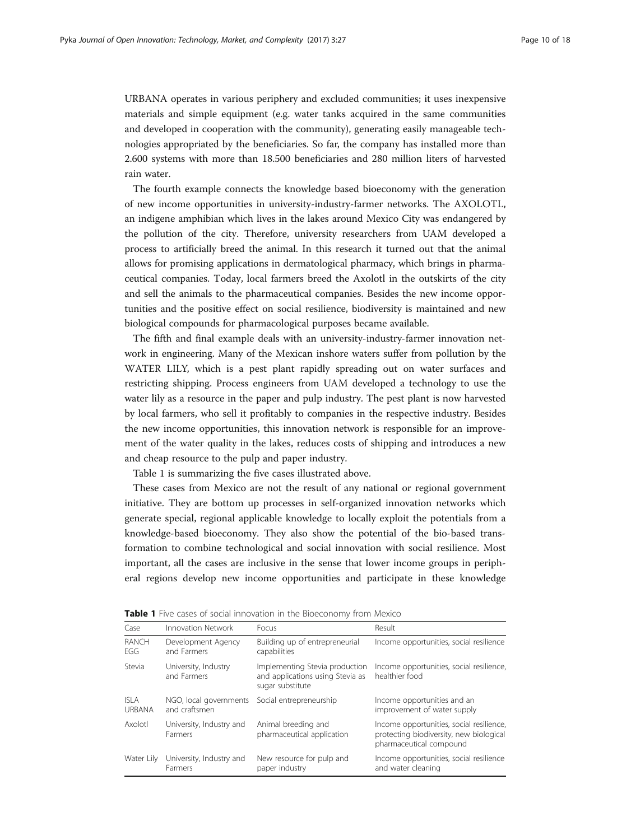URBANA operates in various periphery and excluded communities; it uses inexpensive materials and simple equipment (e.g. water tanks acquired in the same communities and developed in cooperation with the community), generating easily manageable technologies appropriated by the beneficiaries. So far, the company has installed more than 2.600 systems with more than 18.500 beneficiaries and 280 million liters of harvested rain water.

The fourth example connects the knowledge based bioeconomy with the generation of new income opportunities in university-industry-farmer networks. The AXOLOTL, an indigene amphibian which lives in the lakes around Mexico City was endangered by the pollution of the city. Therefore, university researchers from UAM developed a process to artificially breed the animal. In this research it turned out that the animal allows for promising applications in dermatological pharmacy, which brings in pharmaceutical companies. Today, local farmers breed the Axolotl in the outskirts of the city and sell the animals to the pharmaceutical companies. Besides the new income opportunities and the positive effect on social resilience, biodiversity is maintained and new biological compounds for pharmacological purposes became available.

The fifth and final example deals with an university-industry-farmer innovation network in engineering. Many of the Mexican inshore waters suffer from pollution by the WATER LILY, which is a pest plant rapidly spreading out on water surfaces and restricting shipping. Process engineers from UAM developed a technology to use the water lily as a resource in the paper and pulp industry. The pest plant is now harvested by local farmers, who sell it profitably to companies in the respective industry. Besides the new income opportunities, this innovation network is responsible for an improvement of the water quality in the lakes, reduces costs of shipping and introduces a new and cheap resource to the pulp and paper industry.

Table 1 is summarizing the five cases illustrated above.

These cases from Mexico are not the result of any national or regional government initiative. They are bottom up processes in self-organized innovation networks which generate special, regional applicable knowledge to locally exploit the potentials from a knowledge-based bioeconomy. They also show the potential of the bio-based transformation to combine technological and social innovation with social resilience. Most important, all the cases are inclusive in the sense that lower income groups in peripheral regions develop new income opportunities and participate in these knowledge

| Case                   | Innovation Network                      | Focus                                                                                  | Result                                                                                                         |
|------------------------|-----------------------------------------|----------------------------------------------------------------------------------------|----------------------------------------------------------------------------------------------------------------|
| RANCH<br>FGG           | Development Agency<br>and Farmers       | Building up of entrepreneurial<br>capabilities                                         | Income opportunities, social resilience                                                                        |
| Stevia                 | University, Industry<br>and Farmers     | Implementing Stevia production<br>and applications using Stevia as<br>sugar substitute | Income opportunities, social resilience,<br>healthier food                                                     |
| ISI A<br><b>URBANA</b> | NGO, local governments<br>and craftsmen | Social entrepreneurship                                                                | Income opportunities and an<br>improvement of water supply                                                     |
| Axolotl                | University, Industry and<br>Farmers     | Animal breeding and<br>pharmaceutical application                                      | Income opportunities, social resilience,<br>protecting biodiversity, new biological<br>pharmaceutical compound |
| Water Lily             | University, Industry and<br>Farmers     | New resource for pulp and<br>paper industry                                            | Income opportunities, social resilience<br>and water cleaning                                                  |

**Table 1** Five cases of social innovation in the Bioeconomy from Mexico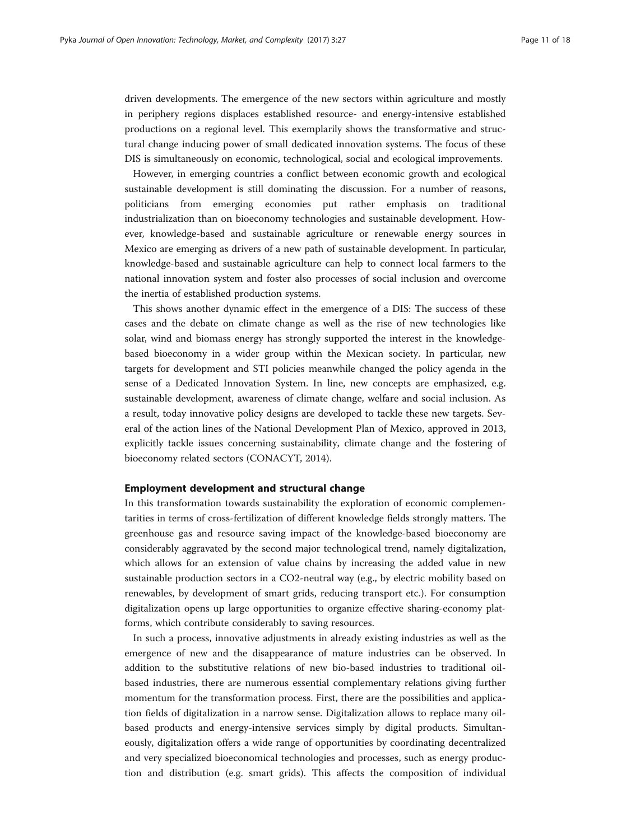driven developments. The emergence of the new sectors within agriculture and mostly in periphery regions displaces established resource- and energy-intensive established productions on a regional level. This exemplarily shows the transformative and structural change inducing power of small dedicated innovation systems. The focus of these DIS is simultaneously on economic, technological, social and ecological improvements.

However, in emerging countries a conflict between economic growth and ecological sustainable development is still dominating the discussion. For a number of reasons, politicians from emerging economies put rather emphasis on traditional industrialization than on bioeconomy technologies and sustainable development. However, knowledge-based and sustainable agriculture or renewable energy sources in Mexico are emerging as drivers of a new path of sustainable development. In particular, knowledge-based and sustainable agriculture can help to connect local farmers to the national innovation system and foster also processes of social inclusion and overcome the inertia of established production systems.

This shows another dynamic effect in the emergence of a DIS: The success of these cases and the debate on climate change as well as the rise of new technologies like solar, wind and biomass energy has strongly supported the interest in the knowledgebased bioeconomy in a wider group within the Mexican society. In particular, new targets for development and STI policies meanwhile changed the policy agenda in the sense of a Dedicated Innovation System. In line, new concepts are emphasized, e.g. sustainable development, awareness of climate change, welfare and social inclusion. As a result, today innovative policy designs are developed to tackle these new targets. Several of the action lines of the National Development Plan of Mexico, approved in 2013, explicitly tackle issues concerning sustainability, climate change and the fostering of bioeconomy related sectors (CONACYT, [2014\)](#page-16-0).

### Employment development and structural change

In this transformation towards sustainability the exploration of economic complementarities in terms of cross-fertilization of different knowledge fields strongly matters. The greenhouse gas and resource saving impact of the knowledge-based bioeconomy are considerably aggravated by the second major technological trend, namely digitalization, which allows for an extension of value chains by increasing the added value in new sustainable production sectors in a CO2-neutral way (e.g., by electric mobility based on renewables, by development of smart grids, reducing transport etc.). For consumption digitalization opens up large opportunities to organize effective sharing-economy platforms, which contribute considerably to saving resources.

In such a process, innovative adjustments in already existing industries as well as the emergence of new and the disappearance of mature industries can be observed. In addition to the substitutive relations of new bio-based industries to traditional oilbased industries, there are numerous essential complementary relations giving further momentum for the transformation process. First, there are the possibilities and application fields of digitalization in a narrow sense. Digitalization allows to replace many oilbased products and energy-intensive services simply by digital products. Simultaneously, digitalization offers a wide range of opportunities by coordinating decentralized and very specialized bioeconomical technologies and processes, such as energy production and distribution (e.g. smart grids). This affects the composition of individual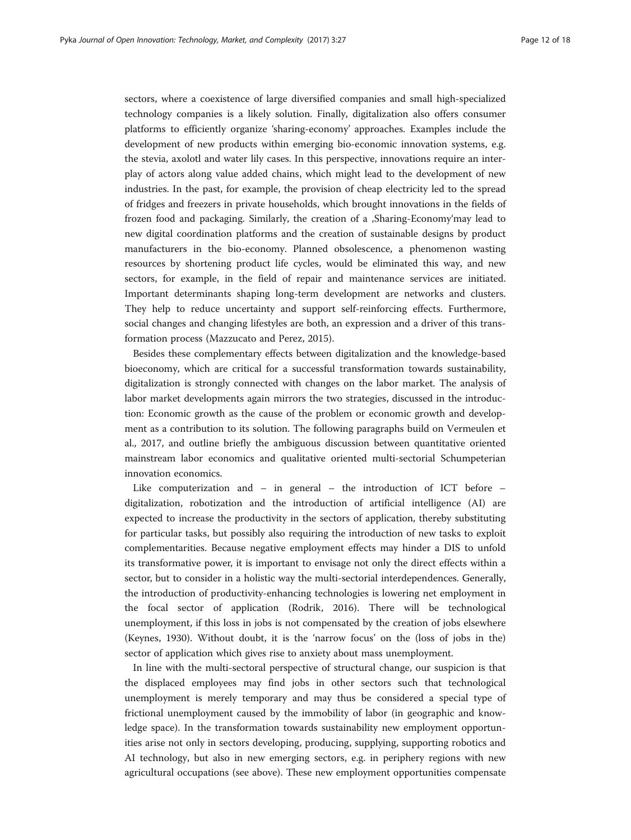sectors, where a coexistence of large diversified companies and small high-specialized technology companies is a likely solution. Finally, digitalization also offers consumer platforms to efficiently organize 'sharing-economy' approaches. Examples include the development of new products within emerging bio-economic innovation systems, e.g. the stevia, axolotl and water lily cases. In this perspective, innovations require an interplay of actors along value added chains, which might lead to the development of new industries. In the past, for example, the provision of cheap electricity led to the spread of fridges and freezers in private households, which brought innovations in the fields of frozen food and packaging. Similarly, the creation of a , Sharing-Economy'may lead to new digital coordination platforms and the creation of sustainable designs by product manufacturers in the bio-economy. Planned obsolescence, a phenomenon wasting resources by shortening product life cycles, would be eliminated this way, and new sectors, for example, in the field of repair and maintenance services are initiated. Important determinants shaping long-term development are networks and clusters. They help to reduce uncertainty and support self-reinforcing effects. Furthermore, social changes and changing lifestyles are both, an expression and a driver of this transformation process (Mazzucato and Perez, [2015](#page-17-0)).

Besides these complementary effects between digitalization and the knowledge-based bioeconomy, which are critical for a successful transformation towards sustainability, digitalization is strongly connected with changes on the labor market. The analysis of labor market developments again mirrors the two strategies, discussed in the introduction: Economic growth as the cause of the problem or economic growth and development as a contribution to its solution. The following paragraphs build on Vermeulen et al., [2017,](#page-17-0) and outline briefly the ambiguous discussion between quantitative oriented mainstream labor economics and qualitative oriented multi-sectorial Schumpeterian innovation economics.

Like computerization and – in general – the introduction of ICT before – digitalization, robotization and the introduction of artificial intelligence (AI) are expected to increase the productivity in the sectors of application, thereby substituting for particular tasks, but possibly also requiring the introduction of new tasks to exploit complementarities. Because negative employment effects may hinder a DIS to unfold its transformative power, it is important to envisage not only the direct effects within a sector, but to consider in a holistic way the multi-sectorial interdependences. Generally, the introduction of productivity-enhancing technologies is lowering net employment in the focal sector of application (Rodrik, [2016\)](#page-17-0). There will be technological unemployment, if this loss in jobs is not compensated by the creation of jobs elsewhere (Keynes, [1930](#page-16-0)). Without doubt, it is the 'narrow focus' on the (loss of jobs in the) sector of application which gives rise to anxiety about mass unemployment.

In line with the multi-sectoral perspective of structural change, our suspicion is that the displaced employees may find jobs in other sectors such that technological unemployment is merely temporary and may thus be considered a special type of frictional unemployment caused by the immobility of labor (in geographic and knowledge space). In the transformation towards sustainability new employment opportunities arise not only in sectors developing, producing, supplying, supporting robotics and AI technology, but also in new emerging sectors, e.g. in periphery regions with new agricultural occupations (see above). These new employment opportunities compensate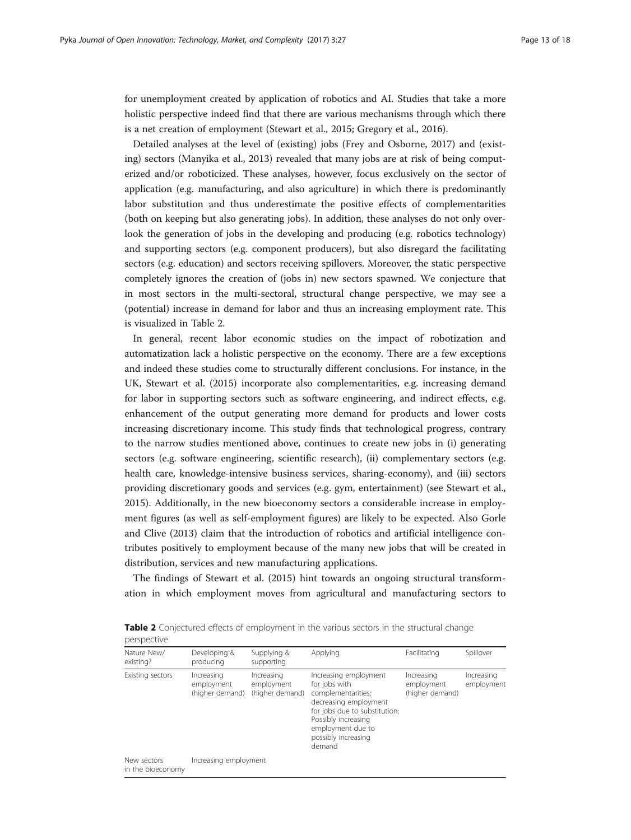for unemployment created by application of robotics and AI. Studies that take a more holistic perspective indeed find that there are various mechanisms through which there is a net creation of employment (Stewart et al., [2015](#page-17-0); Gregory et al., [2016\)](#page-16-0).

Detailed analyses at the level of (existing) jobs (Frey and Osborne, [2017\)](#page-16-0) and (existing) sectors (Manyika et al., [2013](#page-16-0)) revealed that many jobs are at risk of being computerized and/or roboticized. These analyses, however, focus exclusively on the sector of application (e.g. manufacturing, and also agriculture) in which there is predominantly labor substitution and thus underestimate the positive effects of complementarities (both on keeping but also generating jobs). In addition, these analyses do not only overlook the generation of jobs in the developing and producing (e.g. robotics technology) and supporting sectors (e.g. component producers), but also disregard the facilitating sectors (e.g. education) and sectors receiving spillovers. Moreover, the static perspective completely ignores the creation of (jobs in) new sectors spawned. We conjecture that in most sectors in the multi-sectoral, structural change perspective, we may see a (potential) increase in demand for labor and thus an increasing employment rate. This is visualized in Table 2.

In general, recent labor economic studies on the impact of robotization and automatization lack a holistic perspective on the economy. There are a few exceptions and indeed these studies come to structurally different conclusions. For instance, in the UK, Stewart et al. ([2015\)](#page-17-0) incorporate also complementarities, e.g. increasing demand for labor in supporting sectors such as software engineering, and indirect effects, e.g. enhancement of the output generating more demand for products and lower costs increasing discretionary income. This study finds that technological progress, contrary to the narrow studies mentioned above, continues to create new jobs in (i) generating sectors (e.g. software engineering, scientific research), (ii) complementary sectors (e.g. health care, knowledge-intensive business services, sharing-economy), and (iii) sectors providing discretionary goods and services (e.g. gym, entertainment) (see Stewart et al., [2015](#page-17-0)). Additionally, in the new bioeconomy sectors a considerable increase in employment figures (as well as self-employment figures) are likely to be expected. Also Gorle and Clive (2013) claim that the introduction of robotics and artificial intelligence contributes positively to employment because of the many new jobs that will be created in distribution, services and new manufacturing applications.

The findings of Stewart et al. [\(2015](#page-17-0)) hint towards an ongoing structural transformation in which employment moves from agricultural and manufacturing sectors to

| perspective                                               |                                             |                                             |                                                                                                                                                                                                     |                                             |                          |  |  |
|-----------------------------------------------------------|---------------------------------------------|---------------------------------------------|-----------------------------------------------------------------------------------------------------------------------------------------------------------------------------------------------------|---------------------------------------------|--------------------------|--|--|
| Nature New/<br>existing?                                  | Developing &<br>producing                   | Supplying &<br>supporting                   | Applying                                                                                                                                                                                            | Facilitating                                | Spillover                |  |  |
| Existing sectors                                          | Increasing<br>employment<br>(higher demand) | Increasing<br>employment<br>(higher demand) | Increasing employment<br>for jobs with<br>complementarities;<br>decreasing employment<br>for jobs due to substitution;<br>Possibly increasing<br>employment due to<br>possibly increasing<br>demand | Increasing<br>employment<br>(higher demand) | Increasing<br>employment |  |  |
| Increasing employment<br>New sectors<br>in the bioeconomy |                                             |                                             |                                                                                                                                                                                                     |                                             |                          |  |  |

|             | <b>Table 2</b> Conjectured effects of employment in the various sectors in the structural change |  |  |  |  |  |
|-------------|--------------------------------------------------------------------------------------------------|--|--|--|--|--|
| perspective |                                                                                                  |  |  |  |  |  |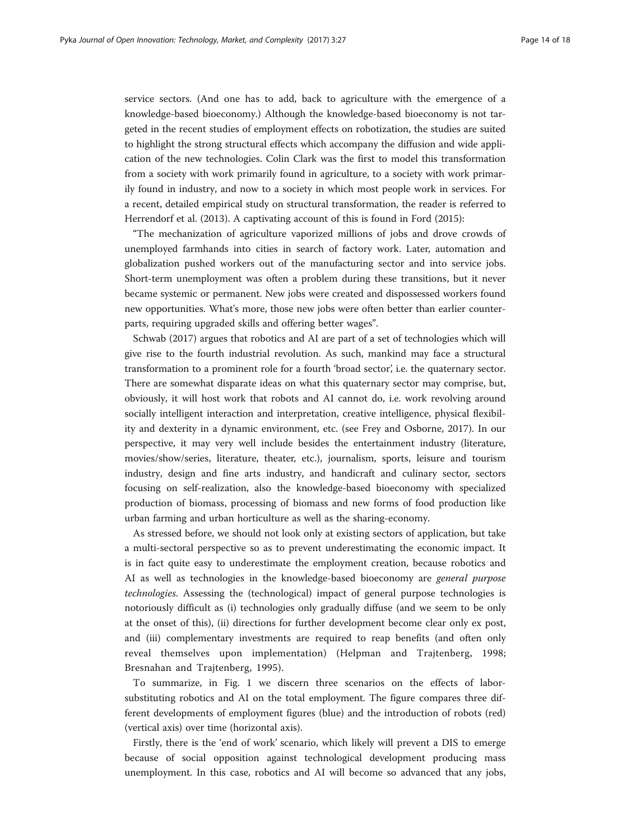service sectors. (And one has to add, back to agriculture with the emergence of a knowledge-based bioeconomy.) Although the knowledge-based bioeconomy is not targeted in the recent studies of employment effects on robotization, the studies are suited to highlight the strong structural effects which accompany the diffusion and wide application of the new technologies. Colin Clark was the first to model this transformation from a society with work primarily found in agriculture, to a society with work primarily found in industry, and now to a society in which most people work in services. For a recent, detailed empirical study on structural transformation, the reader is referred to Herrendorf et al. [\(2013\)](#page-16-0). A captivating account of this is found in Ford ([2015](#page-16-0)):

"The mechanization of agriculture vaporized millions of jobs and drove crowds of unemployed farmhands into cities in search of factory work. Later, automation and globalization pushed workers out of the manufacturing sector and into service jobs. Short-term unemployment was often a problem during these transitions, but it never became systemic or permanent. New jobs were created and dispossessed workers found new opportunities. What's more, those new jobs were often better than earlier counterparts, requiring upgraded skills and offering better wages".

Schwab ([2017\)](#page-17-0) argues that robotics and AI are part of a set of technologies which will give rise to the fourth industrial revolution. As such, mankind may face a structural transformation to a prominent role for a fourth 'broad sector', i.e. the quaternary sector. There are somewhat disparate ideas on what this quaternary sector may comprise, but, obviously, it will host work that robots and AI cannot do, i.e. work revolving around socially intelligent interaction and interpretation, creative intelligence, physical flexibility and dexterity in a dynamic environment, etc. (see Frey and Osborne, [2017](#page-16-0)). In our perspective, it may very well include besides the entertainment industry (literature, movies/show/series, literature, theater, etc.), journalism, sports, leisure and tourism industry, design and fine arts industry, and handicraft and culinary sector, sectors focusing on self-realization, also the knowledge-based bioeconomy with specialized production of biomass, processing of biomass and new forms of food production like urban farming and urban horticulture as well as the sharing-economy.

As stressed before, we should not look only at existing sectors of application, but take a multi-sectoral perspective so as to prevent underestimating the economic impact. It is in fact quite easy to underestimate the employment creation, because robotics and AI as well as technologies in the knowledge-based bioeconomy are general purpose technologies. Assessing the (technological) impact of general purpose technologies is notoriously difficult as (i) technologies only gradually diffuse (and we seem to be only at the onset of this), (ii) directions for further development become clear only ex post, and (iii) complementary investments are required to reap benefits (and often only reveal themselves upon implementation) (Helpman and Trajtenberg, [1998](#page-16-0); Bresnahan and Trajtenberg, [1995](#page-15-0)).

To summarize, in Fig. [1](#page-14-0) we discern three scenarios on the effects of laborsubstituting robotics and AI on the total employment. The figure compares three different developments of employment figures (blue) and the introduction of robots (red) (vertical axis) over time (horizontal axis).

Firstly, there is the 'end of work' scenario, which likely will prevent a DIS to emerge because of social opposition against technological development producing mass unemployment. In this case, robotics and AI will become so advanced that any jobs,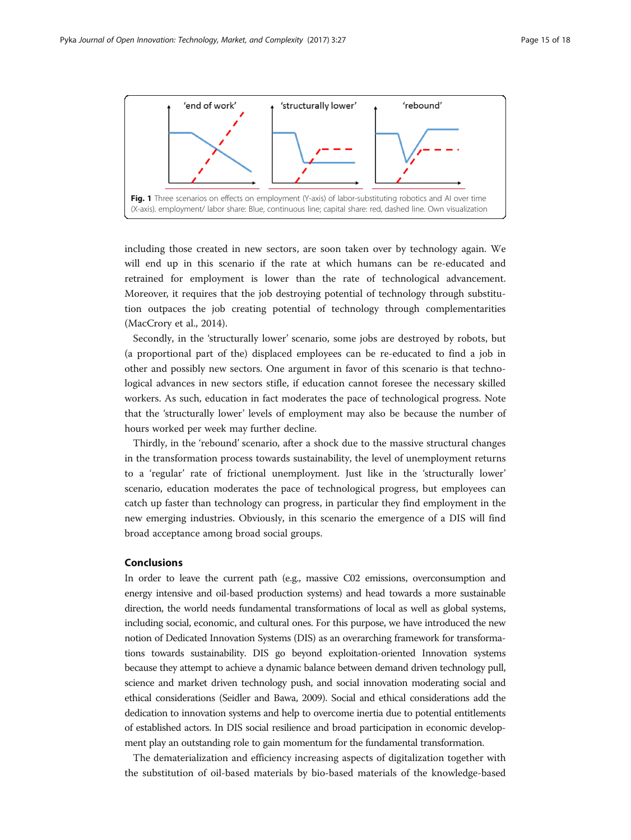<span id="page-14-0"></span>

including those created in new sectors, are soon taken over by technology again. We will end up in this scenario if the rate at which humans can be re-educated and retrained for employment is lower than the rate of technological advancement. Moreover, it requires that the job destroying potential of technology through substitution outpaces the job creating potential of technology through complementarities (MacCrory et al., [2014](#page-16-0)).

Secondly, in the 'structurally lower' scenario, some jobs are destroyed by robots, but (a proportional part of the) displaced employees can be re-educated to find a job in other and possibly new sectors. One argument in favor of this scenario is that technological advances in new sectors stifle, if education cannot foresee the necessary skilled workers. As such, education in fact moderates the pace of technological progress. Note that the 'structurally lower' levels of employment may also be because the number of hours worked per week may further decline.

Thirdly, in the 'rebound' scenario, after a shock due to the massive structural changes in the transformation process towards sustainability, the level of unemployment returns to a 'regular' rate of frictional unemployment. Just like in the 'structurally lower' scenario, education moderates the pace of technological progress, but employees can catch up faster than technology can progress, in particular they find employment in the new emerging industries. Obviously, in this scenario the emergence of a DIS will find broad acceptance among broad social groups.

### Conclusions

In order to leave the current path (e.g., massive C02 emissions, overconsumption and energy intensive and oil-based production systems) and head towards a more sustainable direction, the world needs fundamental transformations of local as well as global systems, including social, economic, and cultural ones. For this purpose, we have introduced the new notion of Dedicated Innovation Systems (DIS) as an overarching framework for transformations towards sustainability. DIS go beyond exploitation-oriented Innovation systems because they attempt to achieve a dynamic balance between demand driven technology pull, science and market driven technology push, and social innovation moderating social and ethical considerations (Seidler and Bawa, [2009](#page-17-0)). Social and ethical considerations add the dedication to innovation systems and help to overcome inertia due to potential entitlements of established actors. In DIS social resilience and broad participation in economic development play an outstanding role to gain momentum for the fundamental transformation.

The dematerialization and efficiency increasing aspects of digitalization together with the substitution of oil-based materials by bio-based materials of the knowledge-based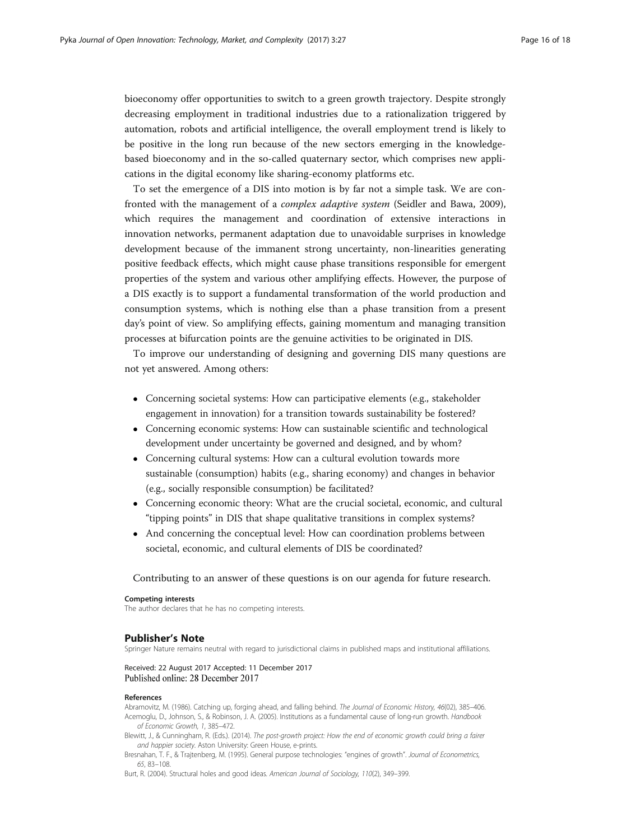<span id="page-15-0"></span>bioeconomy offer opportunities to switch to a green growth trajectory. Despite strongly decreasing employment in traditional industries due to a rationalization triggered by automation, robots and artificial intelligence, the overall employment trend is likely to be positive in the long run because of the new sectors emerging in the knowledgebased bioeconomy and in the so-called quaternary sector, which comprises new applications in the digital economy like sharing-economy platforms etc.

To set the emergence of a DIS into motion is by far not a simple task. We are confronted with the management of a complex adaptive system (Seidler and Bawa, [2009](#page-17-0)), which requires the management and coordination of extensive interactions in innovation networks, permanent adaptation due to unavoidable surprises in knowledge development because of the immanent strong uncertainty, non-linearities generating positive feedback effects, which might cause phase transitions responsible for emergent properties of the system and various other amplifying effects. However, the purpose of a DIS exactly is to support a fundamental transformation of the world production and consumption systems, which is nothing else than a phase transition from a present day's point of view. So amplifying effects, gaining momentum and managing transition processes at bifurcation points are the genuine activities to be originated in DIS.

To improve our understanding of designing and governing DIS many questions are not yet answered. Among others:

- Concerning societal systems: How can participative elements (e.g., stakeholder engagement in innovation) for a transition towards sustainability be fostered?
- Concerning economic systems: How can sustainable scientific and technological development under uncertainty be governed and designed, and by whom?
- Concerning cultural systems: How can a cultural evolution towards more sustainable (consumption) habits (e.g., sharing economy) and changes in behavior (e.g., socially responsible consumption) be facilitated?
- Concerning economic theory: What are the crucial societal, economic, and cultural "tipping points" in DIS that shape qualitative transitions in complex systems?
- And concerning the conceptual level: How can coordination problems between societal, economic, and cultural elements of DIS be coordinated?

Contributing to an answer of these questions is on our agenda for future research.

#### Competing interests

The author declares that he has no competing interests.

#### Publisher's Note

Springer Nature remains neutral with regard to jurisdictional claims in published maps and institutional affiliations.

### Received: 22 August 2017 Accepted: 11 December 2017 Published online: 28 December 2017

#### References

Abramovitz, M. (1986). Catching up, forging ahead, and falling behind. The Journal of Economic History, 46(02), 385–406. Acemoglu, D., Johnson, S., & Robinson, J. A. (2005). Institutions as a fundamental cause of long-run growth. Handbook of Economic Growth, 1, 385–472.

Blewitt, J., & Cunningham, R. (Eds.). (2014). The post-growth project: How the end of economic growth could bring a fairer and happier society. Aston University: Green House, e-prints.

Bresnahan, T. F., & Trajtenberg, M. (1995). General purpose technologies: "engines of growth". Journal of Econometrics, 65, 83–108.

Burt, R. (2004). Structural holes and good ideas. American Journal of Sociology, 110(2), 349–399.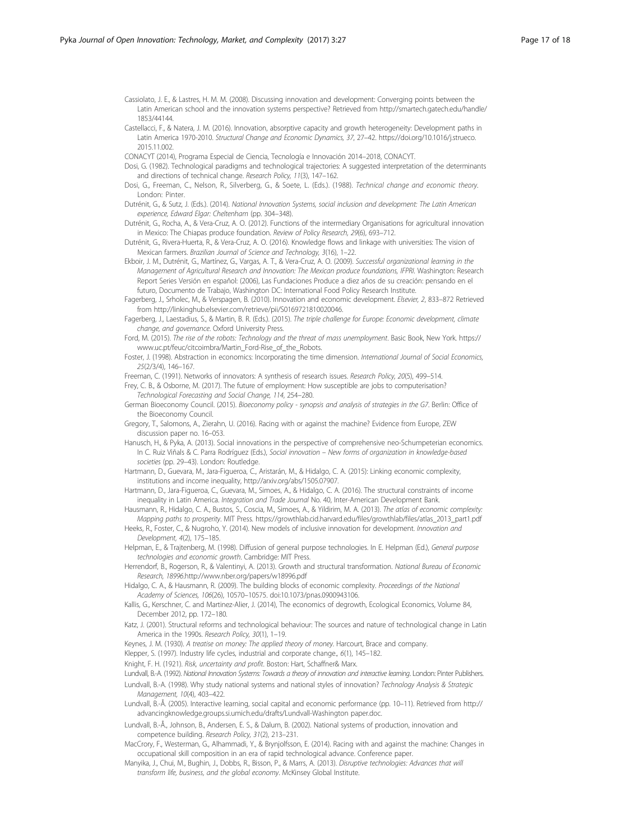<span id="page-16-0"></span>Cassiolato, J. E., & Lastres, H. M. M. (2008). Discussing innovation and development: Converging points between the Latin American school and the innovation systems perspective? Retrieved from [http://smartech.gatech.edu/handle/](http://smartech.gatech.edu/handle/1853/44144) [1853/44144.](http://smartech.gatech.edu/handle/1853/44144)

Castellacci, F., & Natera, J. M. (2016). Innovation, absorptive capacity and growth heterogeneity: Development paths in Latin America 1970-2010. Structural Change and Economic Dynamics, 37, 27–42. [https://doi.org/10.1016/j.strueco.](http://dx.doi.org/10.1016/j.strueco.2015.11.002) [2015.11.002.](http://dx.doi.org/10.1016/j.strueco.2015.11.002)

CONACYT (2014), Programa Especial de Ciencia, Tecnología e Innovación 2014–2018, CONACYT.

- Dosi, G. (1982). Technological paradigms and technological trajectories: A suggested interpretation of the determinants and directions of technical change. Research Policy, 11(3), 147–162.
- Dosi, G., Freeman, C., Nelson, R., Silverberg, G., & Soete, L. (Eds.). (1988). Technical change and economic theory. London: Pinter.
- Dutrénit, G., & Sutz, J. (Eds.). (2014). National Innovation Systems, social inclusion and development: The Latin American experience, Edward Elgar: Cheltenham (pp. 304–348).

Dutrénit, G., Rocha, A., & Vera-Cruz, A. O. (2012). Functions of the intermediary Organisations for agricultural innovation in Mexico: The Chiapas produce foundation. Review of Policy Research, 29(6), 693–712.

Dutrénit, G., Rivera-Huerta, R., & Vera-Cruz, A. O. (2016). Knowledge flows and linkage with universities: The vision of Mexican farmers. Brazilian Journal of Science and Technology, 3(16), 1–22.

Ekboir, J. M., Dutrénit, G., Martínez, G., Vargas, A. T., & Vera-Cruz, A. O. (2009). Successful organizational learning in the Management of Agricultural Research and Innovation: The Mexican produce foundations, IFPRI. Washington: Research Report Series Versión en español: (2006), Las Fundaciones Produce a diez años de su creación: pensando en el futuro, Documento de Trabajo, Washington DC: International Food Policy Research Institute.

Fagerberg, J., Srholec, M., & Verspagen, B. (2010). Innovation and economic development. Elsevier, 2, 833–872 Retrieved from [http://linkinghub.elsevier.com/retrieve/pii/S0169721810020046.](http://linkinghub.elsevier.com/retrieve/pii/S0169721810020046)

Fagerberg, J., Laestadius, S., & Martin, B. R. (Eds.). (2015). The triple challenge for Europe: Economic development, climate change, and governance. Oxford University Press.

Ford, M. (2015). The rise of the robots: Technology and the threat of mass unemployment. Basic Book, New York. [https://](https://www.uc.pt/feuc/citcoimbra/Martin_Ford-Rise_of_the_Robots) [www.uc.pt/feuc/citcoimbra/Martin\\_Ford-Rise\\_of\\_the\\_Robots.](https://www.uc.pt/feuc/citcoimbra/Martin_Ford-Rise_of_the_Robots)

Foster, J. (1998). Abstraction in economics: Incorporating the time dimension. International Journal of Social Economics, 25(2/3/4), 146–167.

Freeman, C. (1991). Networks of innovators: A synthesis of research issues. Research Policy, 20(5), 499–514.

Frey, C. B., & Osborne, M. (2017). The future of employment: How susceptible are jobs to computerisation? Technological Forecasting and Social Change, 114, 254–280.

German Bioeconomy Council. (2015). Bioeconomy policy - synopsis and analysis of strategies in the G7. Berlin: Office of the Bioeconomy Council.

Gregory, T., Salomons, A., Zierahn, U. (2016). Racing with or against the machine? Evidence from Europe, ZEW discussion paper no. 16–053.

Hanusch, H., & Pyka, A. (2013). Social innovations in the perspective of comprehensive neo-Schumpeterian economics. In C. Ruiz Viñals & C. Parra Rodríguez (Eds.), Social innovation – New forms of organization in knowledge-based societies (pp. 29–43). London: Routledge.

Hartmann, D., Guevara, M., Jara-Figueroa, C., Aristarán, M., & Hidalgo, C. A. (2015): Linking economic complexity, institutions and income inequality, [http://arxiv.org/abs/1505.07907.](http://arxiv.org/abs/1505.07907)

Hartmann, D., Jara-Figueroa, C., Guevara, M., Simoes, A., & Hidalgo, C. A. (2016). The structural constraints of income inequality in Latin America. Integration and Trade Journal No. 40, Inter-American Development Bank.

Hausmann, R., Hidalgo, C. A., Bustos, S., Coscia, M., Simoes, A., & Yildirim, M. A. (2013). The atlas of economic complexity: Mapping paths to prosperity. MIT Press. [https://growthlab.cid.harvard.edu/files/growthlab/files/atlas\\_2013\\_part1.pdf](https://growthlab.cid.harvard.edu/files/growthlab/files/atlas_2013_part1.pdf)

Heeks, R., Foster, C., & Nugroho, Y. (2014). New models of inclusive innovation for development. Innovation and Development, 4(2), 175–185.

Helpman, E., & Trajtenberg, M. (1998). Diffusion of general purpose technologies. In E. Helpman (Ed.), General purpose technologies and economic growth. Cambridge: MIT Press.

Herrendorf, B., Rogerson, R., & Valentinyi, A. (2013). Growth and structural transformation. National Bureau of Economic Research, 18996[.http://www.nber.org/papers/w18996.pdf](http://www.nber.org/papers/w18996.pdf)

Hidalgo, C. A., & Hausmann, R. (2009). The building blocks of economic complexity. Proceedings of the National Academy of Sciences, 106(26), 10570–10575. doi[:10.1073/pnas.0900943106](http://dx.doi.org/10.1073/pnas.0900943106).

Kallis, G., Kerschner, C. and Martinez-Alier, J. (2014), The economics of degrowth, Ecological Economics, Volume 84, December 2012, pp. 172–180.

Katz, J. (2001). Structural reforms and technological behaviour: The sources and nature of technological change in Latin America in the 1990s. Research Policy, 30(1), 1–19.

Keynes, J. M. (1930). A treatise on money: The applied theory of money. Harcourt, Brace and company.

Klepper, S. (1997). Industry life cycles, industrial and corporate change.,  $6(1)$ , 145–182.

Knight, F. H. (1921). Risk, uncertainty and profit. Boston: Hart, Schaffner& Marx.

Lundvall, B.-A. (1992). National Innovation Systems: Towards a theory of innovation and interactive learning. London: Pinter Publishers. Lundvall, B.-A. (1998). Why study national systems and national styles of innovation? Technology Analysis & Strategic

Management, 10(4), 403–422.

Lundvall, B.-Å. (2005). Interactive learning, social capital and economic performance (pp. 10–11). Retrieved from [http://](http://advancingknowledge.groups.si.umich.edu/drafts/Lundvall-Washington%20paper.doc) [advancingknowledge.groups.si.umich.edu/drafts/Lundvall-Washington paper.doc.](http://advancingknowledge.groups.si.umich.edu/drafts/Lundvall-Washington%20paper.doc)

Lundvall, B.-Å., Johnson, B., Andersen, E. S., & Dalum, B. (2002). National systems of production, innovation and competence building. Research Policy, 31(2), 213–231.

MacCrory, F., Westerman, G., Alhammadi, Y., & Brynjolfsson, E. (2014). Racing with and against the machine: Changes in occupational skill composition in an era of rapid technological advance. Conference paper.

Manyika, J., Chui, M., Bughin, J., Dobbs, R., Bisson, P., & Marrs, A. (2013). Disruptive technologies: Advances that will transform life, business, and the global economy. McKinsey Global Institute.